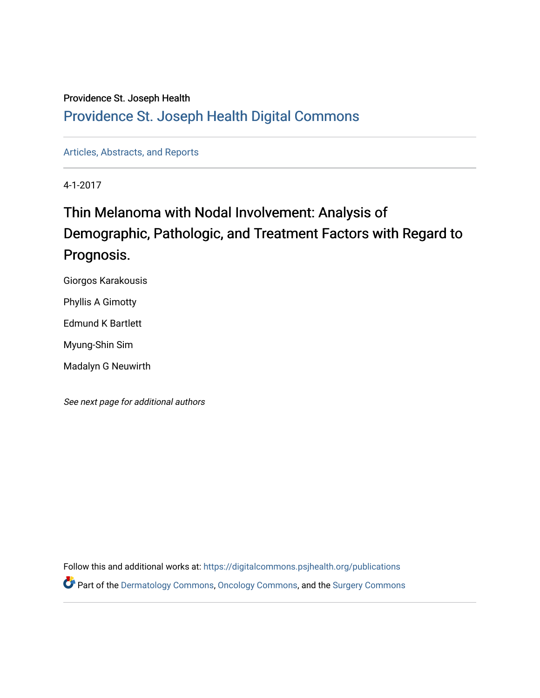# Providence St. Joseph Health

# [Providence St. Joseph Health Digital Commons](https://digitalcommons.psjhealth.org/)

[Articles, Abstracts, and Reports](https://digitalcommons.psjhealth.org/publications) 

4-1-2017

# Thin Melanoma with Nodal Involvement: Analysis of Demographic, Pathologic, and Treatment Factors with Regard to Prognosis.

Giorgos Karakousis

Phyllis A Gimotty

Edmund K Bartlett

Myung-Shin Sim

Madalyn G Neuwirth

See next page for additional authors

Follow this and additional works at: [https://digitalcommons.psjhealth.org/publications](https://digitalcommons.psjhealth.org/publications?utm_source=digitalcommons.psjhealth.org%2Fpublications%2F2440&utm_medium=PDF&utm_campaign=PDFCoverPages) **C** Part of the [Dermatology Commons,](http://network.bepress.com/hgg/discipline/684?utm_source=digitalcommons.psjhealth.org%2Fpublications%2F2440&utm_medium=PDF&utm_campaign=PDFCoverPages) [Oncology Commons](http://network.bepress.com/hgg/discipline/694?utm_source=digitalcommons.psjhealth.org%2Fpublications%2F2440&utm_medium=PDF&utm_campaign=PDFCoverPages), and the Surgery Commons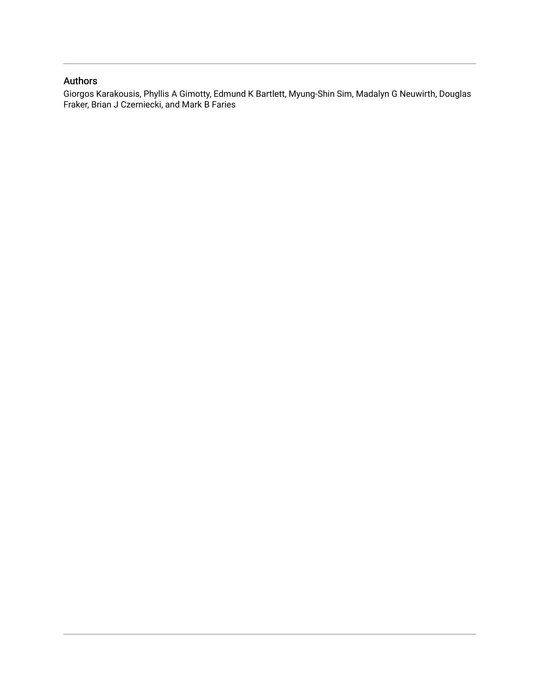# Authors

Giorgos Karakousis, Phyllis A Gimotty, Edmund K Bartlett, Myung-Shin Sim, Madalyn G Neuwirth, Douglas Fraker, Brian J Czerniecki, and Mark B Faries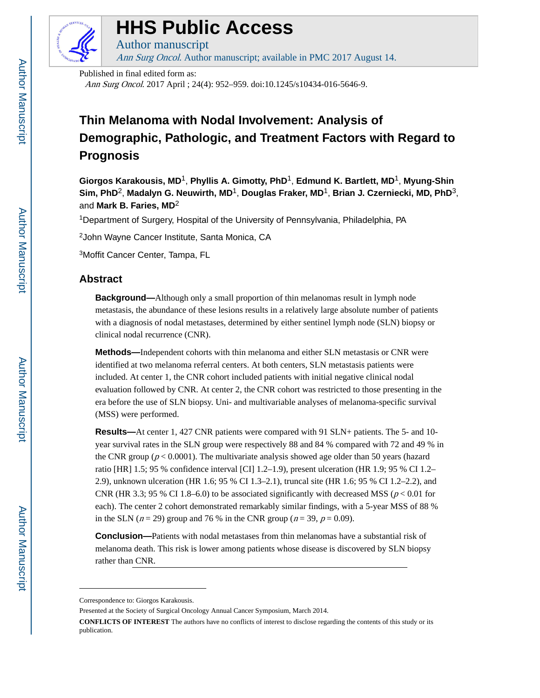

# **HHS Public Access**

Author manuscript

Ann Surg Oncol. Author manuscript; available in PMC 2017 August 14.

Published in final edited form as:

Ann Surg Oncol. 2017 April ; 24(4): 952–959. doi:10.1245/s10434-016-5646-9.

# **Thin Melanoma with Nodal Involvement: Analysis of Demographic, Pathologic, and Treatment Factors with Regard to Prognosis**

**Giorgos Karakousis, MD**1, **Phyllis A. Gimotty, PhD**1, **Edmund K. Bartlett, MD**1, **Myung-Shin Sim, PhD**2, **Madalyn G. Neuwirth, MD**1, **Douglas Fraker, MD**1, **Brian J. Czerniecki, MD, PhD**3, and **Mark B. Faries, MD**<sup>2</sup>

<sup>1</sup>Department of Surgery, Hospital of the University of Pennsylvania, Philadelphia, PA

<sup>2</sup>John Wayne Cancer Institute, Santa Monica, CA

<sup>3</sup>Moffit Cancer Center, Tampa, FL

## **Abstract**

**Background—**Although only a small proportion of thin melanomas result in lymph node metastasis, the abundance of these lesions results in a relatively large absolute number of patients with a diagnosis of nodal metastases, determined by either sentinel lymph node (SLN) biopsy or clinical nodal recurrence (CNR).

**Methods—**Independent cohorts with thin melanoma and either SLN metastasis or CNR were identified at two melanoma referral centers. At both centers, SLN metastasis patients were included. At center 1, the CNR cohort included patients with initial negative clinical nodal evaluation followed by CNR. At center 2, the CNR cohort was restricted to those presenting in the era before the use of SLN biopsy. Uni- and multivariable analyses of melanoma-specific survival (MSS) were performed.

**Results—**At center 1, 427 CNR patients were compared with 91 SLN+ patients. The 5- and 10 year survival rates in the SLN group were respectively 88 and 84 % compared with 72 and 49 % in the CNR group ( $p < 0.0001$ ). The multivariate analysis showed age older than 50 years (hazard ratio [HR] 1.5; 95 % confidence interval [CI] 1.2–1.9), present ulceration (HR 1.9; 95 % CI 1.2– 2.9), unknown ulceration (HR 1.6; 95 % CI 1.3–2.1), truncal site (HR 1.6; 95 % CI 1.2–2.2), and CNR (HR 3.3; 95 % CI 1.8–6.0) to be associated significantly with decreased MSS ( $p < 0.01$  for each). The center 2 cohort demonstrated remarkably similar findings, with a 5-year MSS of 88 % in the SLN ( $n = 29$ ) group and 76 % in the CNR group ( $n = 39$ ,  $p = 0.09$ ).

**Conclusion—**Patients with nodal metastases from thin melanomas have a substantial risk of melanoma death. This risk is lower among patients whose disease is discovered by SLN biopsy rather than CNR.

Correspondence to: Giorgos Karakousis.

Presented at the Society of Surgical Oncology Annual Cancer Symposium, March 2014.

**CONFLICTS OF INTEREST** The authors have no conflicts of interest to disclose regarding the contents of this study or its publication.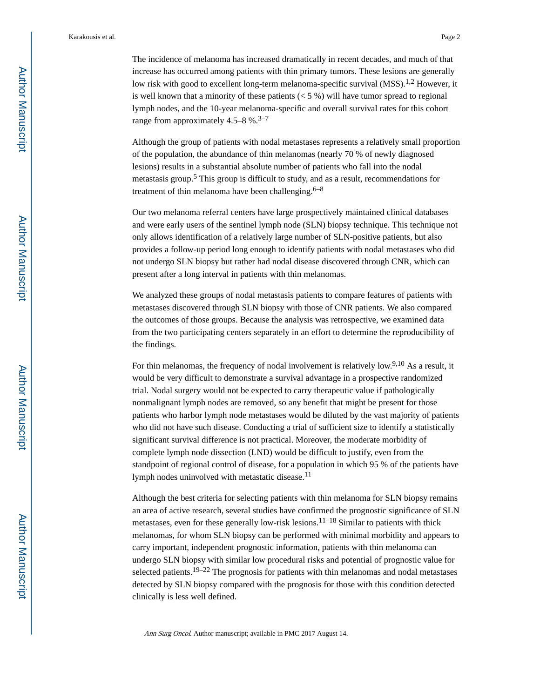The incidence of melanoma has increased dramatically in recent decades, and much of that increase has occurred among patients with thin primary tumors. These lesions are generally low risk with good to excellent long-term melanoma-specific survival (MSS).<sup>1,2</sup> However, it is well known that a minority of these patients  $(< 5\%$ ) will have tumor spread to regional lymph nodes, and the 10-year melanoma-specific and overall survival rates for this cohort range from approximately  $4.5-8 \%$ .  $3-7$ 

Although the group of patients with nodal metastases represents a relatively small proportion of the population, the abundance of thin melanomas (nearly 70 % of newly diagnosed lesions) results in a substantial absolute number of patients who fall into the nodal metastasis group.<sup>5</sup> This group is difficult to study, and as a result, recommendations for treatment of thin melanoma have been challenging.  $6-8$ 

Our two melanoma referral centers have large prospectively maintained clinical databases and were early users of the sentinel lymph node (SLN) biopsy technique. This technique not only allows identification of a relatively large number of SLN-positive patients, but also provides a follow-up period long enough to identify patients with nodal metastases who did not undergo SLN biopsy but rather had nodal disease discovered through CNR, which can present after a long interval in patients with thin melanomas.

We analyzed these groups of nodal metastasis patients to compare features of patients with metastases discovered through SLN biopsy with those of CNR patients. We also compared the outcomes of those groups. Because the analysis was retrospective, we examined data from the two participating centers separately in an effort to determine the reproducibility of the findings.

For thin melanomas, the frequency of nodal involvement is relatively low.<sup>9,10</sup> As a result, it would be very difficult to demonstrate a survival advantage in a prospective randomized trial. Nodal surgery would not be expected to carry therapeutic value if pathologically nonmalignant lymph nodes are removed, so any benefit that might be present for those patients who harbor lymph node metastases would be diluted by the vast majority of patients who did not have such disease. Conducting a trial of sufficient size to identify a statistically significant survival difference is not practical. Moreover, the moderate morbidity of complete lymph node dissection (LND) would be difficult to justify, even from the standpoint of regional control of disease, for a population in which 95 % of the patients have lymph nodes uninvolved with metastatic disease. $11$ 

Although the best criteria for selecting patients with thin melanoma for SLN biopsy remains an area of active research, several studies have confirmed the prognostic significance of SLN metastases, even for these generally low-risk lesions.<sup>11–18</sup> Similar to patients with thick melanomas, for whom SLN biopsy can be performed with minimal morbidity and appears to carry important, independent prognostic information, patients with thin melanoma can undergo SLN biopsy with similar low procedural risks and potential of prognostic value for selected patients.<sup>19–22</sup> The prognosis for patients with thin melanomas and nodal metastases detected by SLN biopsy compared with the prognosis for those with this condition detected clinically is less well defined.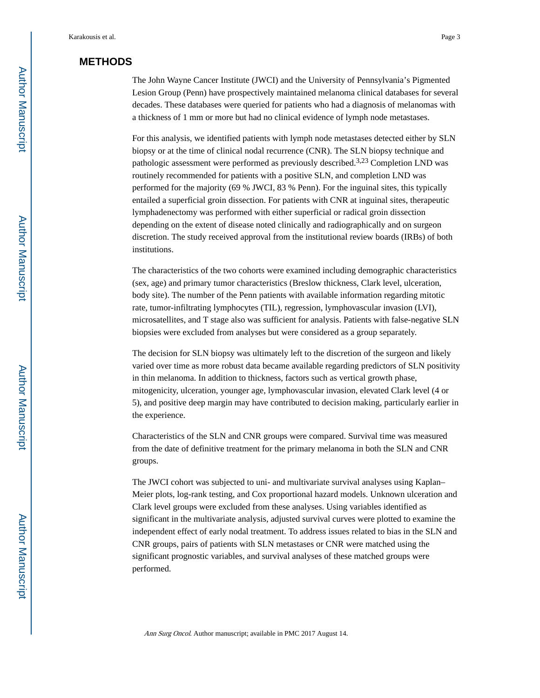## **METHODS**

The John Wayne Cancer Institute (JWCI) and the University of Pennsylvania's Pigmented Lesion Group (Penn) have prospectively maintained melanoma clinical databases for several decades. These databases were queried for patients who had a diagnosis of melanomas with a thickness of 1 mm or more but had no clinical evidence of lymph node metastases.

For this analysis, we identified patients with lymph node metastases detected either by SLN biopsy or at the time of clinical nodal recurrence (CNR). The SLN biopsy technique and pathologic assessment were performed as previously described.3,23 Completion LND was routinely recommended for patients with a positive SLN, and completion LND was performed for the majority (69 % JWCI, 83 % Penn). For the inguinal sites, this typically entailed a superficial groin dissection. For patients with CNR at inguinal sites, therapeutic lymphadenectomy was performed with either superficial or radical groin dissection depending on the extent of disease noted clinically and radiographically and on surgeon discretion. The study received approval from the institutional review boards (IRBs) of both institutions.

The characteristics of the two cohorts were examined including demographic characteristics (sex, age) and primary tumor characteristics (Breslow thickness, Clark level, ulceration, body site). The number of the Penn patients with available information regarding mitotic rate, tumor-infiltrating lymphocytes (TIL), regression, lymphovascular invasion (LVI), microsatellites, and T stage also was sufficient for analysis. Patients with false-negative SLN biopsies were excluded from analyses but were considered as a group separately.

The decision for SLN biopsy was ultimately left to the discretion of the surgeon and likely varied over time as more robust data became available regarding predictors of SLN positivity in thin melanoma. In addition to thickness, factors such as vertical growth phase, mitogenicity, ulceration, younger age, lymphovascular invasion, elevated Clark level (4 or 5), and positive deep margin may have contributed to decision making, particularly earlier in the experience.

Characteristics of the SLN and CNR groups were compared. Survival time was measured from the date of definitive treatment for the primary melanoma in both the SLN and CNR groups.

The JWCI cohort was subjected to uni- and multivariate survival analyses using Kaplan– Meier plots, log-rank testing, and Cox proportional hazard models. Unknown ulceration and Clark level groups were excluded from these analyses. Using variables identified as significant in the multivariate analysis, adjusted survival curves were plotted to examine the independent effect of early nodal treatment. To address issues related to bias in the SLN and CNR groups, pairs of patients with SLN metastases or CNR were matched using the significant prognostic variables, and survival analyses of these matched groups were performed.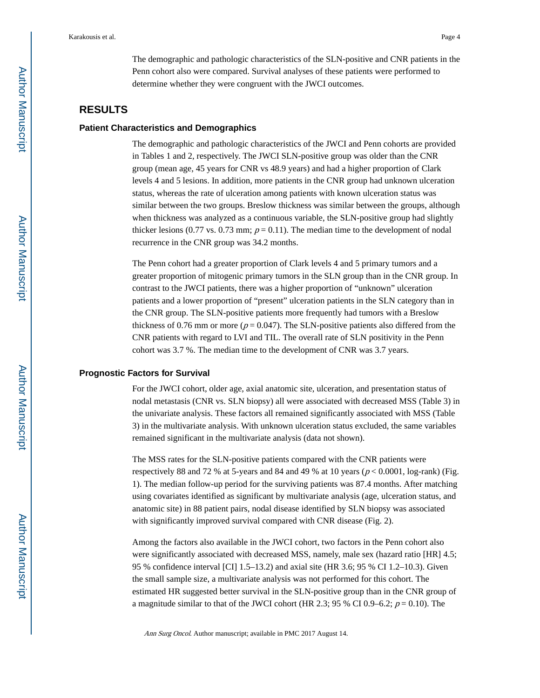The demographic and pathologic characteristics of the SLN-positive and CNR patients in the Penn cohort also were compared. Survival analyses of these patients were performed to determine whether they were congruent with the JWCI outcomes.

## **RESULTS**

#### **Patient Characteristics and Demographics**

The demographic and pathologic characteristics of the JWCI and Penn cohorts are provided in Tables 1 and 2, respectively. The JWCI SLN-positive group was older than the CNR group (mean age, 45 years for CNR vs 48.9 years) and had a higher proportion of Clark levels 4 and 5 lesions. In addition, more patients in the CNR group had unknown ulceration status, whereas the rate of ulceration among patients with known ulceration status was similar between the two groups. Breslow thickness was similar between the groups, although when thickness was analyzed as a continuous variable, the SLN-positive group had slightly thicker lesions (0.77 vs. 0.73 mm;  $p = 0.11$ ). The median time to the development of nodal recurrence in the CNR group was 34.2 months.

The Penn cohort had a greater proportion of Clark levels 4 and 5 primary tumors and a greater proportion of mitogenic primary tumors in the SLN group than in the CNR group. In contrast to the JWCI patients, there was a higher proportion of "unknown" ulceration patients and a lower proportion of "present" ulceration patients in the SLN category than in the CNR group. The SLN-positive patients more frequently had tumors with a Breslow thickness of 0.76 mm or more ( $p = 0.047$ ). The SLN-positive patients also differed from the CNR patients with regard to LVI and TIL. The overall rate of SLN positivity in the Penn cohort was 3.7 %. The median time to the development of CNR was 3.7 years.

#### **Prognostic Factors for Survival**

For the JWCI cohort, older age, axial anatomic site, ulceration, and presentation status of nodal metastasis (CNR vs. SLN biopsy) all were associated with decreased MSS (Table 3) in the univariate analysis. These factors all remained significantly associated with MSS (Table 3) in the multivariate analysis. With unknown ulceration status excluded, the same variables remained significant in the multivariate analysis (data not shown).

The MSS rates for the SLN-positive patients compared with the CNR patients were respectively 88 and 72 % at 5-years and 84 and 49 % at 10 years ( $p < 0.0001$ , log-rank) (Fig. 1). The median follow-up period for the surviving patients was 87.4 months. After matching using covariates identified as significant by multivariate analysis (age, ulceration status, and anatomic site) in 88 patient pairs, nodal disease identified by SLN biopsy was associated with significantly improved survival compared with CNR disease (Fig. 2).

Among the factors also available in the JWCI cohort, two factors in the Penn cohort also were significantly associated with decreased MSS, namely, male sex (hazard ratio [HR] 4.5; 95 % confidence interval [CI] 1.5–13.2) and axial site (HR 3.6; 95 % CI 1.2–10.3). Given the small sample size, a multivariate analysis was not performed for this cohort. The estimated HR suggested better survival in the SLN-positive group than in the CNR group of a magnitude similar to that of the JWCI cohort (HR 2.3; 95 % CI 0.9–6.2;  $p = 0.10$ ). The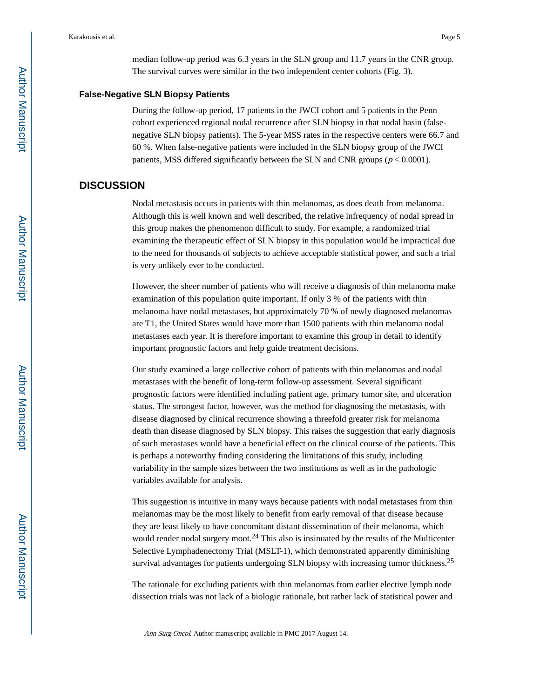median follow-up period was 6.3 years in the SLN group and 11.7 years in the CNR group. The survival curves were similar in the two independent center cohorts (Fig. 3).

#### **False-Negative SLN Biopsy Patients**

During the follow-up period, 17 patients in the JWCI cohort and 5 patients in the Penn cohort experienced regional nodal recurrence after SLN biopsy in that nodal basin (falsenegative SLN biopsy patients). The 5-year MSS rates in the respective centers were 66.7 and 60 %. When false-negative patients were included in the SLN biopsy group of the JWCI patients, MSS differed significantly between the SLN and CNR groups ( $p < 0.0001$ ).

#### **DISCUSSION**

Nodal metastasis occurs in patients with thin melanomas, as does death from melanoma. Although this is well known and well described, the relative infrequency of nodal spread in this group makes the phenomenon difficult to study. For example, a randomized trial examining the therapeutic effect of SLN biopsy in this population would be impractical due to the need for thousands of subjects to achieve acceptable statistical power, and such a trial is very unlikely ever to be conducted.

However, the sheer number of patients who will receive a diagnosis of thin melanoma make examination of this population quite important. If only 3 % of the patients with thin melanoma have nodal metastases, but approximately 70 % of newly diagnosed melanomas are T1, the United States would have more than 1500 patients with thin melanoma nodal metastases each year. It is therefore important to examine this group in detail to identify important prognostic factors and help guide treatment decisions.

Our study examined a large collective cohort of patients with thin melanomas and nodal metastases with the benefit of long-term follow-up assessment. Several significant prognostic factors were identified including patient age, primary tumor site, and ulceration status. The strongest factor, however, was the method for diagnosing the metastasis, with disease diagnosed by clinical recurrence showing a threefold greater risk for melanoma death than disease diagnosed by SLN biopsy. This raises the suggestion that early diagnosis of such metastases would have a beneficial effect on the clinical course of the patients. This is perhaps a noteworthy finding considering the limitations of this study, including variability in the sample sizes between the two institutions as well as in the pathologic variables available for analysis.

This suggestion is intuitive in many ways because patients with nodal metastases from thin melanomas may be the most likely to benefit from early removal of that disease because they are least likely to have concomitant distant dissemination of their melanoma, which would render nodal surgery moot.<sup>24</sup> This also is insinuated by the results of the Multicenter Selective Lymphadenectomy Trial (MSLT-1), which demonstrated apparently diminishing survival advantages for patients undergoing SLN biopsy with increasing tumor thickness.<sup>25</sup>

The rationale for excluding patients with thin melanomas from earlier elective lymph node dissection trials was not lack of a biologic rationale, but rather lack of statistical power and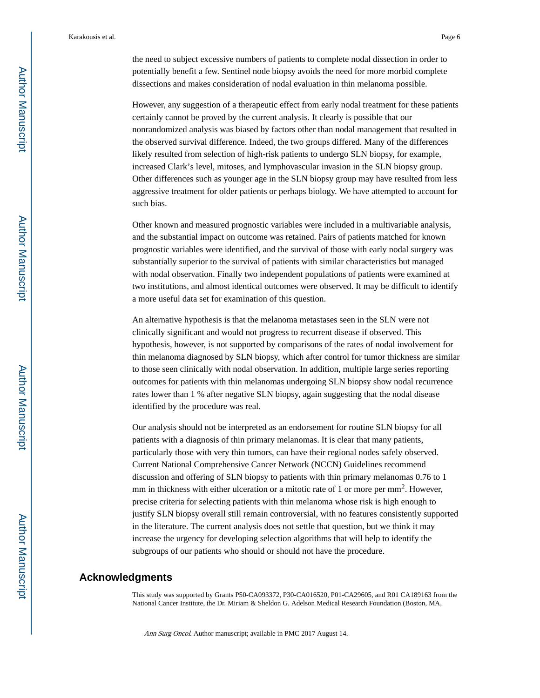the need to subject excessive numbers of patients to complete nodal dissection in order to potentially benefit a few. Sentinel node biopsy avoids the need for more morbid complete dissections and makes consideration of nodal evaluation in thin melanoma possible.

However, any suggestion of a therapeutic effect from early nodal treatment for these patients certainly cannot be proved by the current analysis. It clearly is possible that our nonrandomized analysis was biased by factors other than nodal management that resulted in the observed survival difference. Indeed, the two groups differed. Many of the differences likely resulted from selection of high-risk patients to undergo SLN biopsy, for example, increased Clark's level, mitoses, and lymphovascular invasion in the SLN biopsy group. Other differences such as younger age in the SLN biopsy group may have resulted from less aggressive treatment for older patients or perhaps biology. We have attempted to account for such bias.

Other known and measured prognostic variables were included in a multivariable analysis, and the substantial impact on outcome was retained. Pairs of patients matched for known prognostic variables were identified, and the survival of those with early nodal surgery was substantially superior to the survival of patients with similar characteristics but managed with nodal observation. Finally two independent populations of patients were examined at two institutions, and almost identical outcomes were observed. It may be difficult to identify a more useful data set for examination of this question.

An alternative hypothesis is that the melanoma metastases seen in the SLN were not clinically significant and would not progress to recurrent disease if observed. This hypothesis, however, is not supported by comparisons of the rates of nodal involvement for thin melanoma diagnosed by SLN biopsy, which after control for tumor thickness are similar to those seen clinically with nodal observation. In addition, multiple large series reporting outcomes for patients with thin melanomas undergoing SLN biopsy show nodal recurrence rates lower than 1 % after negative SLN biopsy, again suggesting that the nodal disease identified by the procedure was real.

Our analysis should not be interpreted as an endorsement for routine SLN biopsy for all patients with a diagnosis of thin primary melanomas. It is clear that many patients, particularly those with very thin tumors, can have their regional nodes safely observed. Current National Comprehensive Cancer Network (NCCN) Guidelines recommend discussion and offering of SLN biopsy to patients with thin primary melanomas 0.76 to 1 mm in thickness with either ulceration or a mitotic rate of 1 or more per  $mm<sup>2</sup>$ . However, precise criteria for selecting patients with thin melanoma whose risk is high enough to justify SLN biopsy overall still remain controversial, with no features consistently supported in the literature. The current analysis does not settle that question, but we think it may increase the urgency for developing selection algorithms that will help to identify the subgroups of our patients who should or should not have the procedure.

#### **Acknowledgments**

This study was supported by Grants P50-CA093372, P30-CA016520, P01-CA29605, and R01 CA189163 from the National Cancer Institute, the Dr. Miriam & Sheldon G. Adelson Medical Research Foundation (Boston, MA,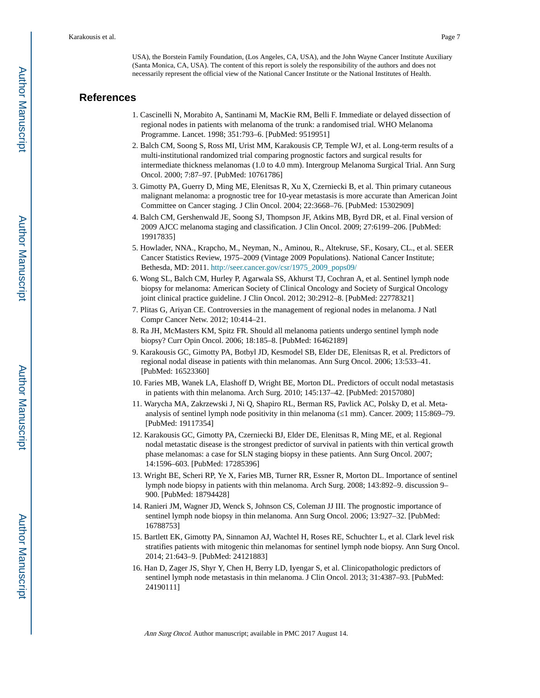USA), the Borstein Family Foundation, (Los Angeles, CA, USA), and the John Wayne Cancer Institute Auxiliary (Santa Monica, CA, USA). The content of this report is solely the responsibility of the authors and does not necessarily represent the official view of the National Cancer Institute or the National Institutes of Health.

#### **References**

- 1. Cascinelli N, Morabito A, Santinami M, MacKie RM, Belli F. Immediate or delayed dissection of regional nodes in patients with melanoma of the trunk: a randomised trial. WHO Melanoma Programme. Lancet. 1998; 351:793–6. [PubMed: 9519951]
- 2. Balch CM, Soong S, Ross MI, Urist MM, Karakousis CP, Temple WJ, et al. Long-term results of a multi-institutional randomized trial comparing prognostic factors and surgical results for intermediate thickness melanomas (1.0 to 4.0 mm). Intergroup Melanoma Surgical Trial. Ann Surg Oncol. 2000; 7:87–97. [PubMed: 10761786]
- 3. Gimotty PA, Guerry D, Ming ME, Elenitsas R, Xu X, Czerniecki B, et al. Thin primary cutaneous malignant melanoma: a prognostic tree for 10-year metastasis is more accurate than American Joint Committee on Cancer staging. J Clin Oncol. 2004; 22:3668–76. [PubMed: 15302909]
- 4. Balch CM, Gershenwald JE, Soong SJ, Thompson JF, Atkins MB, Byrd DR, et al. Final version of 2009 AJCC melanoma staging and classification. J Clin Oncol. 2009; 27:6199–206. [PubMed: 19917835]
- 5. Howlader, NNA., Krapcho, M., Neyman, N., Aminou, R., Altekruse, SF., Kosary, CL., et al. SEER Cancer Statistics Review, 1975–2009 (Vintage 2009 Populations). National Cancer Institute; Bethesda, MD: 2011. [http://seer.cancer.gov/csr/1975\\_2009\\_pops09/](http://seer.cancer.gov/csr/1975_2009_pops09/)
- 6. Wong SL, Balch CM, Hurley P, Agarwala SS, Akhurst TJ, Cochran A, et al. Sentinel lymph node biopsy for melanoma: American Society of Clinical Oncology and Society of Surgical Oncology joint clinical practice guideline. J Clin Oncol. 2012; 30:2912–8. [PubMed: 22778321]
- 7. Plitas G, Ariyan CE. Controversies in the management of regional nodes in melanoma. J Natl Compr Cancer Netw. 2012; 10:414–21.
- 8. Ra JH, McMasters KM, Spitz FR. Should all melanoma patients undergo sentinel lymph node biopsy? Curr Opin Oncol. 2006; 18:185–8. [PubMed: 16462189]
- 9. Karakousis GC, Gimotty PA, Botbyl JD, Kesmodel SB, Elder DE, Elenitsas R, et al. Predictors of regional nodal disease in patients with thin melanomas. Ann Surg Oncol. 2006; 13:533–41. [PubMed: 16523360]
- 10. Faries MB, Wanek LA, Elashoff D, Wright BE, Morton DL. Predictors of occult nodal metastasis in patients with thin melanoma. Arch Surg. 2010; 145:137–42. [PubMed: 20157080]
- 11. Warycha MA, Zakrzewski J, Ni Q, Shapiro RL, Berman RS, Pavlick AC, Polsky D, et al. Metaanalysis of sentinel lymph node positivity in thin melanoma ( $1 \text{ mm}$ ). Cancer. 2009; 115:869–79. [PubMed: 19117354]
- 12. Karakousis GC, Gimotty PA, Czerniecki BJ, Elder DE, Elenitsas R, Ming ME, et al. Regional nodal metastatic disease is the strongest predictor of survival in patients with thin vertical growth phase melanomas: a case for SLN staging biopsy in these patients. Ann Surg Oncol. 2007; 14:1596–603. [PubMed: 17285396]
- 13. Wright BE, Scheri RP, Ye X, Faries MB, Turner RR, Essner R, Morton DL. Importance of sentinel lymph node biopsy in patients with thin melanoma. Arch Surg. 2008; 143:892–9. discussion 9– 900. [PubMed: 18794428]
- 14. Ranieri JM, Wagner JD, Wenck S, Johnson CS, Coleman JJ III. The prognostic importance of sentinel lymph node biopsy in thin melanoma. Ann Surg Oncol. 2006; 13:927–32. [PubMed: 16788753]
- 15. Bartlett EK, Gimotty PA, Sinnamon AJ, Wachtel H, Roses RE, Schuchter L, et al. Clark level risk stratifies patients with mitogenic thin melanomas for sentinel lymph node biopsy. Ann Surg Oncol. 2014; 21:643–9. [PubMed: 24121883]
- 16. Han D, Zager JS, Shyr Y, Chen H, Berry LD, Iyengar S, et al. Clinicopathologic predictors of sentinel lymph node metastasis in thin melanoma. J Clin Oncol. 2013; 31:4387–93. [PubMed: 24190111]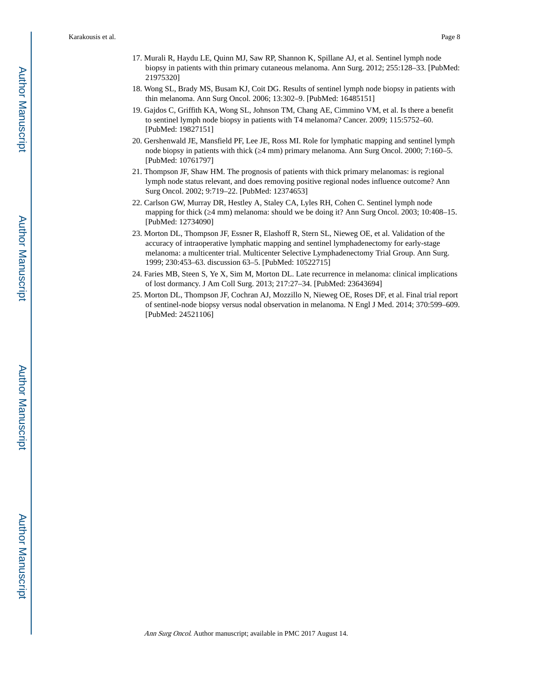- 17. Murali R, Haydu LE, Quinn MJ, Saw RP, Shannon K, Spillane AJ, et al. Sentinel lymph node biopsy in patients with thin primary cutaneous melanoma. Ann Surg. 2012; 255:128–33. [PubMed: 21975320]
- 18. Wong SL, Brady MS, Busam KJ, Coit DG. Results of sentinel lymph node biopsy in patients with thin melanoma. Ann Surg Oncol. 2006; 13:302–9. [PubMed: 16485151]
- 19. Gajdos C, Griffith KA, Wong SL, Johnson TM, Chang AE, Cimmino VM, et al. Is there a benefit to sentinel lymph node biopsy in patients with T4 melanoma? Cancer. 2009; 115:5752–60. [PubMed: 19827151]
- 20. Gershenwald JE, Mansfield PF, Lee JE, Ross MI. Role for lymphatic mapping and sentinel lymph node biopsy in patients with thick ( $4$  mm) primary melanoma. Ann Surg Oncol. 2000; 7:160–5. [PubMed: 10761797]
- 21. Thompson JF, Shaw HM. The prognosis of patients with thick primary melanomas: is regional lymph node status relevant, and does removing positive regional nodes influence outcome? Ann Surg Oncol. 2002; 9:719–22. [PubMed: 12374653]
- 22. Carlson GW, Murray DR, Hestley A, Staley CA, Lyles RH, Cohen C. Sentinel lymph node mapping for thick (4 mm) melanoma: should we be doing it? Ann Surg Oncol. 2003; 10:408–15. [PubMed: 12734090]
- 23. Morton DL, Thompson JF, Essner R, Elashoff R, Stern SL, Nieweg OE, et al. Validation of the accuracy of intraoperative lymphatic mapping and sentinel lymphadenectomy for early-stage melanoma: a multicenter trial. Multicenter Selective Lymphadenectomy Trial Group. Ann Surg. 1999; 230:453–63. discussion 63–5. [PubMed: 10522715]
- 24. Faries MB, Steen S, Ye X, Sim M, Morton DL. Late recurrence in melanoma: clinical implications of lost dormancy. J Am Coll Surg. 2013; 217:27–34. [PubMed: 23643694]
- 25. Morton DL, Thompson JF, Cochran AJ, Mozzillo N, Nieweg OE, Roses DF, et al. Final trial report of sentinel-node biopsy versus nodal observation in melanoma. N Engl J Med. 2014; 370:599–609. [PubMed: 24521106]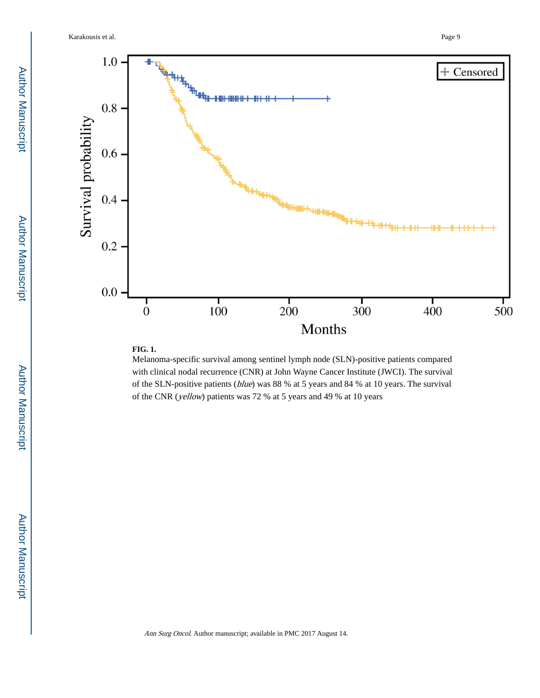

### **FIG. 1.**

Melanoma-specific survival among sentinel lymph node (SLN)-positive patients compared with clinical nodal recurrence (CNR) at John Wayne Cancer Institute (JWCI). The survival of the SLN-positive patients (blue) was 88 % at 5 years and 84 % at 10 years. The survival of the CNR (yellow) patients was 72 % at 5 years and 49 % at 10 years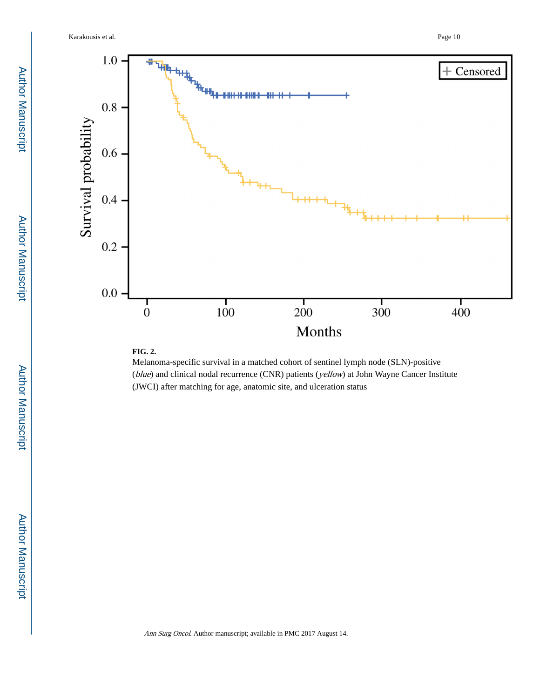Karakousis et al. Page 10





Melanoma-specific survival in a matched cohort of sentinel lymph node (SLN)-positive (blue) and clinical nodal recurrence (CNR) patients (yellow) at John Wayne Cancer Institute (JWCI) after matching for age, anatomic site, and ulceration status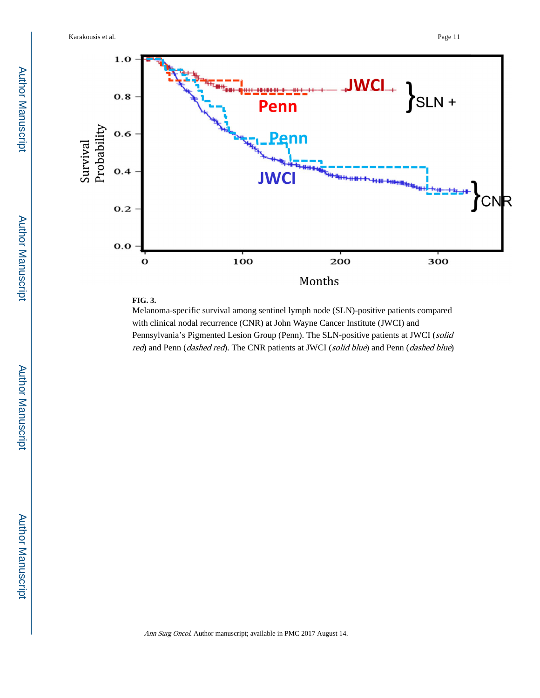

#### **FIG. 3.**

Melanoma-specific survival among sentinel lymph node (SLN)-positive patients compared with clinical nodal recurrence (CNR) at John Wayne Cancer Institute (JWCI) and Pennsylvania's Pigmented Lesion Group (Penn). The SLN-positive patients at JWCI (solid red) and Penn (dashed red). The CNR patients at JWCI (solid blue) and Penn (dashed blue)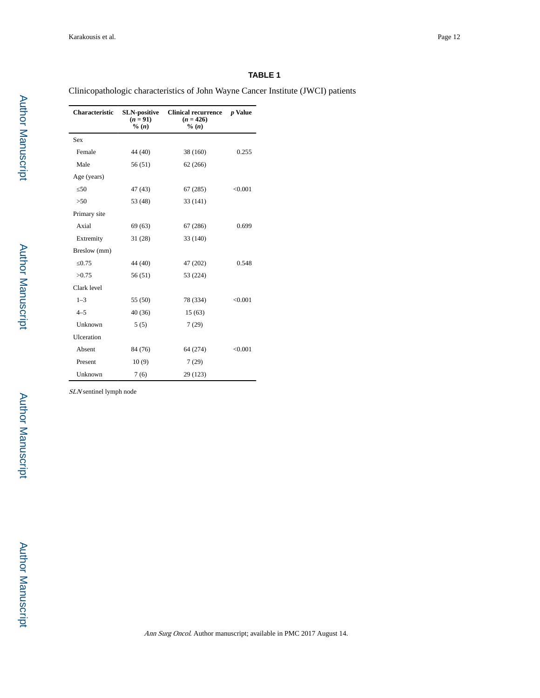#### **TABLE 1**

Clinicopathologic characteristics of John Wayne Cancer Institute (JWCI) patients

| Characteristic | <b>SLN-positive</b><br>$(n = 91)$<br>% (n) | <b>Clinical recurrence</b><br>$(n = 426)$<br>% (n) | p Value |
|----------------|--------------------------------------------|----------------------------------------------------|---------|
| <b>Sex</b>     |                                            |                                                    |         |
| Female         | 44 (40)                                    | 38 (160)                                           | 0.255   |
| Male           | 56(51)                                     | 62(266)                                            |         |
| Age (years)    |                                            |                                                    |         |
| 50             | 47 (43)                                    | 67 (285)                                           | < 0.001 |
| >50            | 53 (48)                                    | 33 (141)                                           |         |
| Primary site   |                                            |                                                    |         |
| Axial          | 69(63)                                     | 67 (286)                                           | 0.699   |
| Extremity      | 31(28)                                     | 33 (140)                                           |         |
| Breslow (mm)   |                                            |                                                    |         |
| 0.75           | 44 (40)                                    | 47 (202)                                           | 0.548   |
| >0.75          | 56(51)                                     | 53 (224)                                           |         |
| Clark level    |                                            |                                                    |         |
| $1 - 3$        | 55 (50)                                    | 78 (334)                                           | < 0.001 |
| $4 - 5$        | 40(36)                                     | 15(63)                                             |         |
| Unknown        | 5(5)                                       | 7(29)                                              |         |
| Ulceration     |                                            |                                                    |         |
| Absent         | 84 (76)                                    | 64 (274)                                           | < 0.001 |
| Present        | 10(9)                                      | 7(29)                                              |         |
| Unknown        | 7(6)                                       | 29 (123)                                           |         |

SLN sentinel lymph node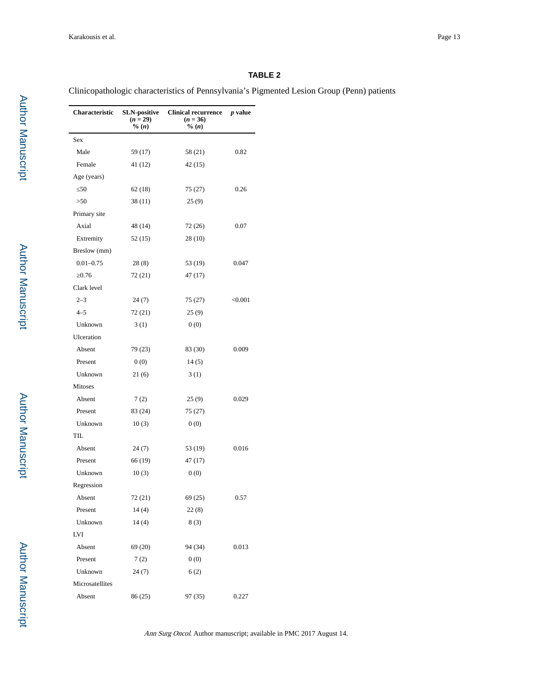#### **TABLE 2**

Clinicopathologic characteristics of Pennsylvania's Pigmented Lesion Group (Penn) patients

| <b>Characteristic</b> | <b>SLN-positive</b><br>$(n = 29)$<br>% (n) | <b>Clinical recurrence</b><br>$(n = 36)$<br>% (n) | <i>p</i> value |
|-----------------------|--------------------------------------------|---------------------------------------------------|----------------|
| Sex                   |                                            |                                                   |                |
| Male                  | 59 (17)                                    | 58 (21)                                           | 0.82           |
| Female                | 41 (12)                                    | 42 (15)                                           |                |
| Age (years)           |                                            |                                                   |                |
| 50                    | 62(18)                                     | 75(27)                                            | 0.26           |
| >50                   | 38 (11)                                    | 25(9)                                             |                |
| Primary site          |                                            |                                                   |                |
| Axial                 | 48 (14)                                    | 72 (26)                                           | 0.07           |
| Extremity             | 52 (15)                                    | 28 (10)                                           |                |
| Breslow (mm)          |                                            |                                                   |                |
| $0.01 - 0.75$         | 28(8)                                      | 53 (19)                                           | 0.047          |
| 0.76                  | 72 (21)                                    | 47 (17)                                           |                |
| Clark level           |                                            |                                                   |                |
| $2 - 3$               | 24(7)                                      | 75 (27)                                           | < 0.001        |
| $4 - 5$               | 72 (21)                                    | 25(9)                                             |                |
| Unknown               | 3(1)                                       | 0(0)                                              |                |
| Ulceration            |                                            |                                                   |                |
| Absent                | 79 (23)                                    | 83 (30)                                           | 0.009          |
| Present               | 0(0)                                       | 14(5)                                             |                |
| Unknown               | 21(6)                                      | 3(1)                                              |                |
| Mitoses               |                                            |                                                   |                |
| Absent                | 7(2)                                       | 25(9)                                             | 0.029          |
| Present               | 83 (24)                                    | 75 (27)                                           |                |
| Unknown               | 10(3)                                      | 0(0)                                              |                |
| <b>TIL</b>            |                                            |                                                   |                |
| Absent                | 24(7)                                      | 53 (19)                                           | 0.016          |
| Present               | 66 (19)                                    | 47 (17)                                           |                |
| Unknown               | 10(3)                                      | 0(0)                                              |                |
| Regression            |                                            |                                                   |                |
| Absent                | 72 (21)                                    | 69 (25)                                           | 0.57           |
| Present               | 14(4)                                      | 22(8)                                             |                |
| Unknown               | 14(4)                                      | 8(3)                                              |                |
| LVI                   |                                            |                                                   |                |
| Absent                | 69 (20)                                    | 94 (34)                                           | 0.013          |
| Present               | 7(2)                                       | 0(0)                                              |                |
| Unknown               | 24(7)                                      | 6(2)                                              |                |
| Microsatellites       |                                            |                                                   |                |
| Absent                | 86 (25)                                    | 97 (35)                                           | 0.227          |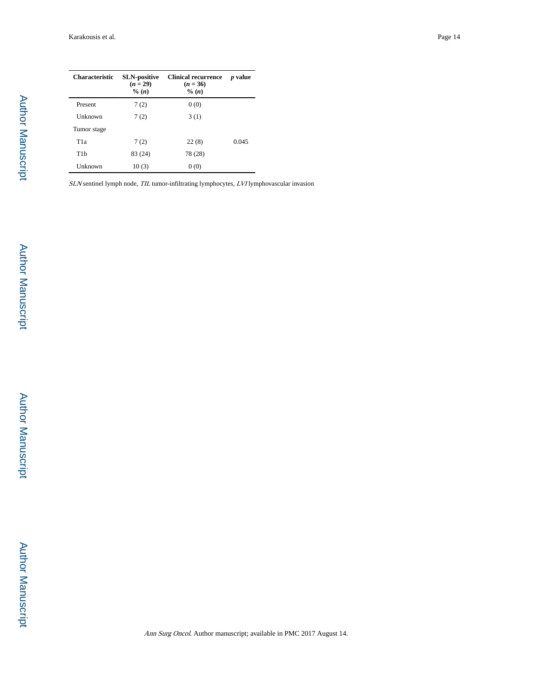Karakousis et al. Page 14

| <b>Characteristic</b> | <b>SLN-positive</b><br>$(n = 29)$<br>% (n) | <b>Clinical recurrence</b><br>$(n = 36)$<br>% (n) | <i>p</i> value |
|-----------------------|--------------------------------------------|---------------------------------------------------|----------------|
| Present               | 7(2)                                       | 0(0)                                              |                |
| Unknown               | 7(2)                                       | 3(1)                                              |                |
| Tumor stage           |                                            |                                                   |                |
| T <sub>1</sub> a      | 7(2)                                       | 22(8)                                             | 0.045          |
| T1h                   | 83 (24)                                    | 78 (28)                                           |                |
| Unknown               | 10(3)                                      | 0(0)                                              |                |

 $SLN$  sentinel lymph node,  $\emph{TL}$  tumor-infiltrating lymphocytes,  $LVI$  lymphovascular invasion